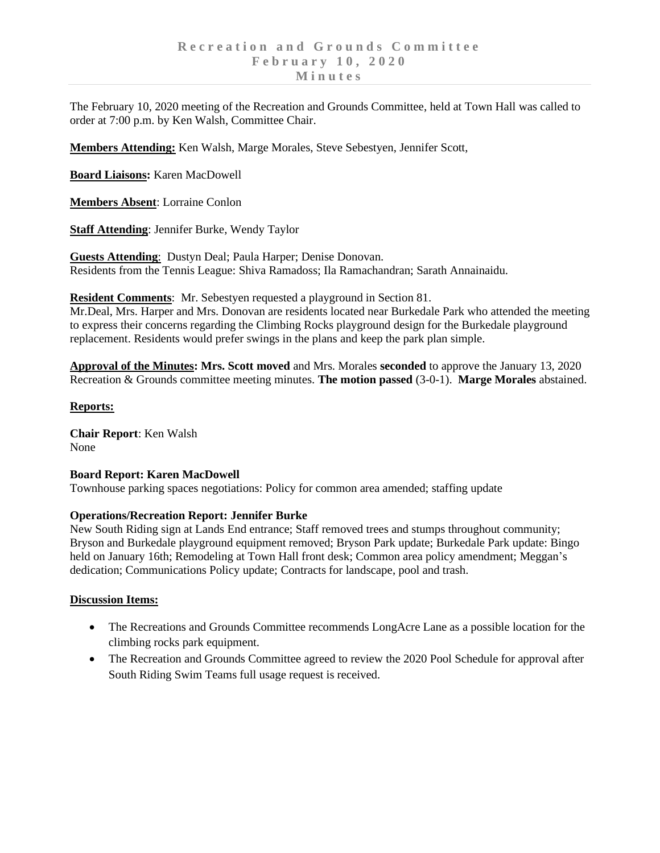The February 10, 2020 meeting of the Recreation and Grounds Committee, held at Town Hall was called to order at 7:00 p.m. by Ken Walsh, Committee Chair.

**Members Attending:** Ken Walsh, Marge Morales, Steve Sebestyen, Jennifer Scott,

**Board Liaisons:** Karen MacDowell

**Members Absent**: Lorraine Conlon

**Staff Attending**: Jennifer Burke, Wendy Taylor

**Guests Attending**: Dustyn Deal; Paula Harper; Denise Donovan. Residents from the Tennis League: Shiva Ramadoss; Ila Ramachandran; Sarath Annainaidu.

**Resident Comments**: Mr. Sebestyen requested a playground in Section 81.

Mr.Deal, Mrs. Harper and Mrs. Donovan are residents located near Burkedale Park who attended the meeting to express their concerns regarding the Climbing Rocks playground design for the Burkedale playground replacement. Residents would prefer swings in the plans and keep the park plan simple.

**Approval of the Minutes: Mrs. Scott moved** and Mrs. Morales **seconded** to approve the January 13, 2020 Recreation & Grounds committee meeting minutes. **The motion passed** (3-0-1). **Marge Morales** abstained.

## **Reports:**

**Chair Report**: Ken Walsh None

## **Board Report: Karen MacDowell**

Townhouse parking spaces negotiations: Policy for common area amended; staffing update

## **Operations/Recreation Report: Jennifer Burke**

New South Riding sign at Lands End entrance; Staff removed trees and stumps throughout community; Bryson and Burkedale playground equipment removed; Bryson Park update; Burkedale Park update: Bingo held on January 16th; Remodeling at Town Hall front desk; Common area policy amendment; Meggan's dedication; Communications Policy update; Contracts for landscape, pool and trash.

## **Discussion Items:**

- The Recreations and Grounds Committee recommends LongAcre Lane as a possible location for the climbing rocks park equipment.
- The Recreation and Grounds Committee agreed to review the 2020 Pool Schedule for approval after South Riding Swim Teams full usage request is received.